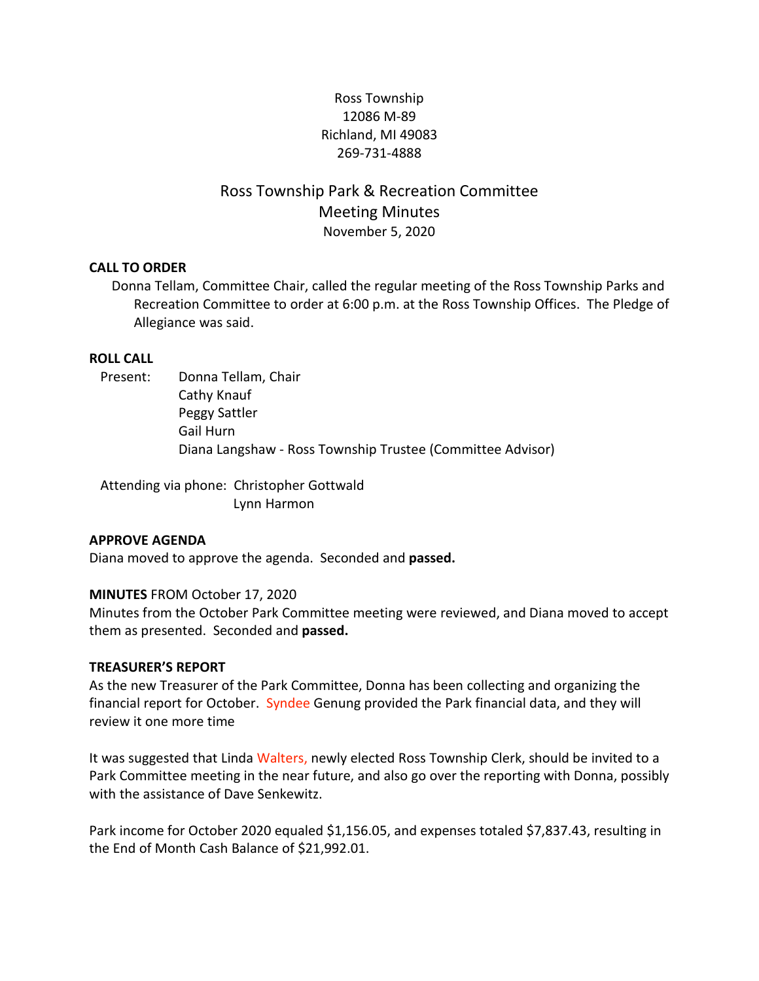## Ross Township 12086 M-89 Richland, MI 49083 269-731-4888

# Ross Township Park & Recreation Committee Meeting Minutes November 5, 2020

#### **CALL TO ORDER**

Donna Tellam, Committee Chair, called the regular meeting of the Ross Township Parks and Recreation Committee to order at 6:00 p.m. at the Ross Township Offices. The Pledge of Allegiance was said.

#### **ROLL CALL**

## Present: Donna Tellam, Chair Cathy Knauf Peggy Sattler Gail Hurn Diana Langshaw - Ross Township Trustee (Committee Advisor)

Attending via phone: Christopher Gottwald Lynn Harmon

#### **APPROVE AGENDA**

Diana moved to approve the agenda. Seconded and **passed.**

#### **MINUTES** FROM October 17, 2020

Minutes from the October Park Committee meeting were reviewed, and Diana moved to accept them as presented. Seconded and **passed.**

#### **TREASURER'S REPORT**

As the new Treasurer of the Park Committee, Donna has been collecting and organizing the financial report for October. Syndee Genung provided the Park financial data, and they will review it one more time

It was suggested that Linda Walters, newly elected Ross Township Clerk, should be invited to a Park Committee meeting in the near future, and also go over the reporting with Donna, possibly with the assistance of Dave Senkewitz.

Park income for October 2020 equaled \$1,156.05, and expenses totaled \$7,837.43, resulting in the End of Month Cash Balance of \$21,992.01.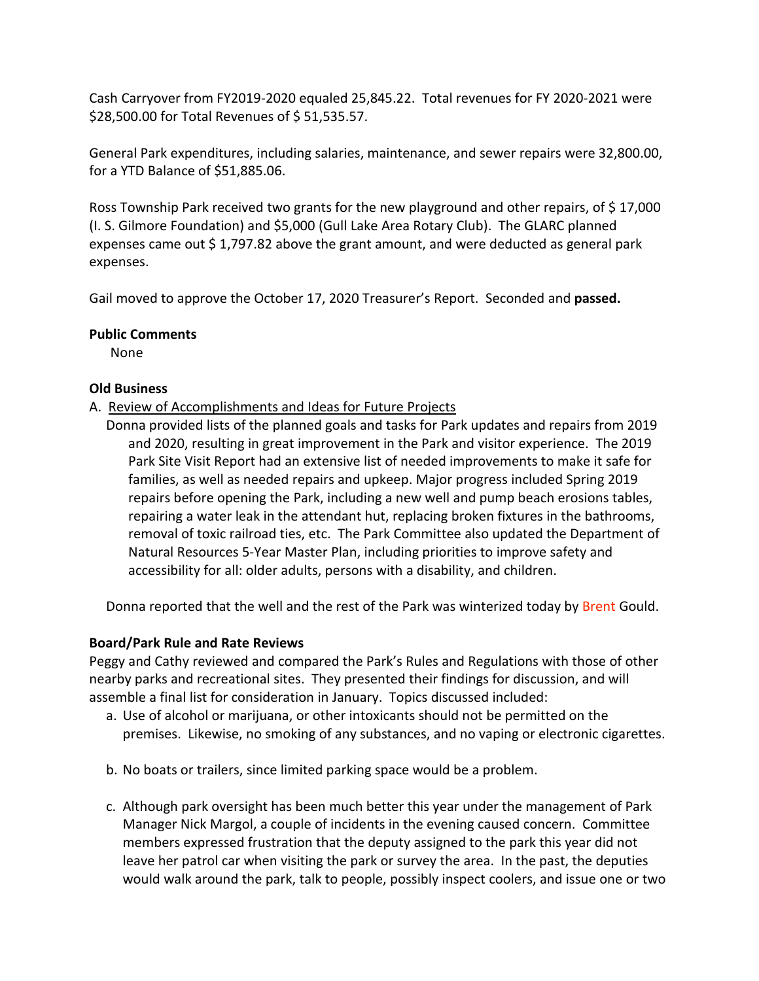Cash Carryover from FY2019-2020 equaled 25,845.22. Total revenues for FY 2020-2021 were \$28,500.00 for Total Revenues of \$ 51,535.57.

General Park expenditures, including salaries, maintenance, and sewer repairs were 32,800.00, for a YTD Balance of \$51,885.06.

Ross Township Park received two grants for the new playground and other repairs, of \$17,000 (I. S. Gilmore Foundation) and \$5,000 (Gull Lake Area Rotary Club). The GLARC planned expenses came out \$1,797.82 above the grant amount, and were deducted as general park expenses.

Gail moved to approve the October 17, 2020 Treasurer's Report. Seconded and **passed.**

#### **Public Comments**

None

#### **Old Business**

- A. Review of Accomplishments and Ideas for Future Projects
	- Donna provided lists of the planned goals and tasks for Park updates and repairs from 2019 and 2020, resulting in great improvement in the Park and visitor experience. The 2019 Park Site Visit Report had an extensive list of needed improvements to make it safe for families, as well as needed repairs and upkeep. Major progress included Spring 2019 repairs before opening the Park, including a new well and pump beach erosions tables, repairing a water leak in the attendant hut, replacing broken fixtures in the bathrooms, removal of toxic railroad ties, etc. The Park Committee also updated the Department of Natural Resources 5-Year Master Plan, including priorities to improve safety and accessibility for all: older adults, persons with a disability, and children.

Donna reported that the well and the rest of the Park was winterized today by Brent Gould.

## **Board/Park Rule and Rate Reviews**

Peggy and Cathy reviewed and compared the Park's Rules and Regulations with those of other nearby parks and recreational sites. They presented their findings for discussion, and will assemble a final list for consideration in January. Topics discussed included:

- a. Use of alcohol or marijuana, or other intoxicants should not be permitted on the premises. Likewise, no smoking of any substances, and no vaping or electronic cigarettes.
- b. No boats or trailers, since limited parking space would be a problem.
- c. Although park oversight has been much better this year under the management of Park Manager Nick Margol, a couple of incidents in the evening caused concern. Committee members expressed frustration that the deputy assigned to the park this year did not leave her patrol car when visiting the park or survey the area. In the past, the deputies would walk around the park, talk to people, possibly inspect coolers, and issue one or two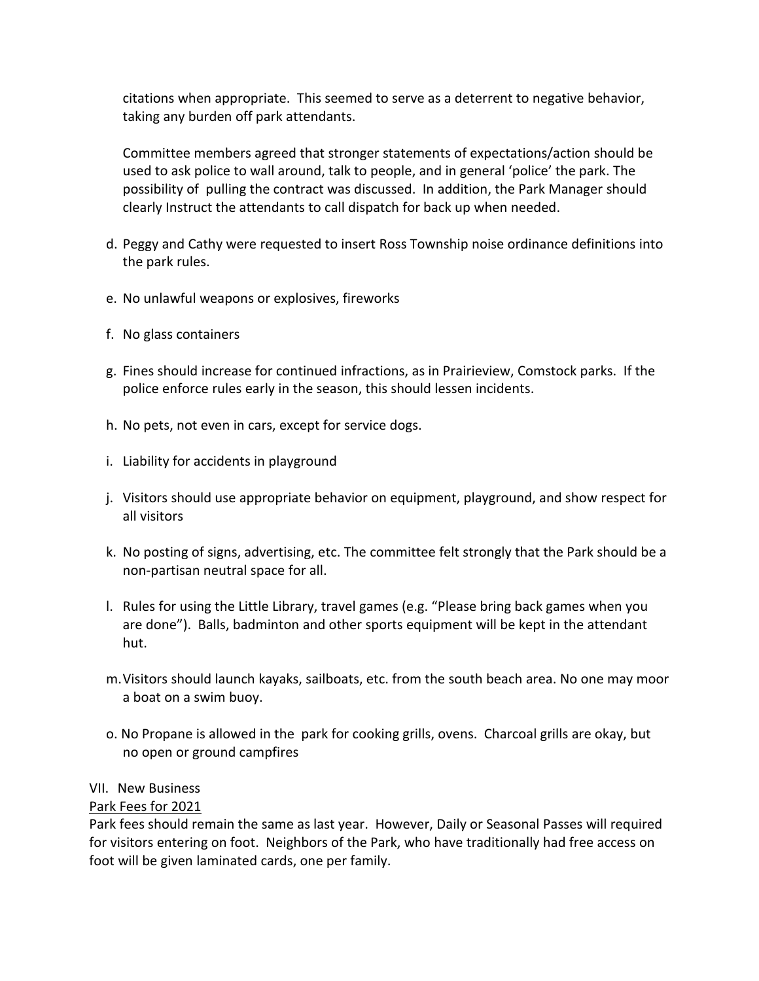citations when appropriate. This seemed to serve as a deterrent to negative behavior, taking any burden off park attendants.

Committee members agreed that stronger statements of expectations/action should be used to ask police to wall around, talk to people, and in general 'police' the park. The possibility of pulling the contract was discussed. In addition, the Park Manager should clearly Instruct the attendants to call dispatch for back up when needed.

- d. Peggy and Cathy were requested to insert Ross Township noise ordinance definitions into the park rules.
- e. No unlawful weapons or explosives, fireworks
- f. No glass containers
- g. Fines should increase for continued infractions, as in Prairieview, Comstock parks. If the police enforce rules early in the season, this should lessen incidents.
- h. No pets, not even in cars, except for service dogs.
- i. Liability for accidents in playground
- j. Visitors should use appropriate behavior on equipment, playground, and show respect for all visitors
- k. No posting of signs, advertising, etc. The committee felt strongly that the Park should be a non-partisan neutral space for all.
- l. Rules for using the Little Library, travel games (e.g. "Please bring back games when you are done"). Balls, badminton and other sports equipment will be kept in the attendant hut.
- m.Visitors should launch kayaks, sailboats, etc. from the south beach area. No one may moor a boat on a swim buoy.
- o. No Propane is allowed in the park for cooking grills, ovens. Charcoal grills are okay, but no open or ground campfires

## VII. New Business

#### Park Fees for 2021

Park fees should remain the same as last year. However, Daily or Seasonal Passes will required for visitors entering on foot. Neighbors of the Park, who have traditionally had free access on foot will be given laminated cards, one per family.